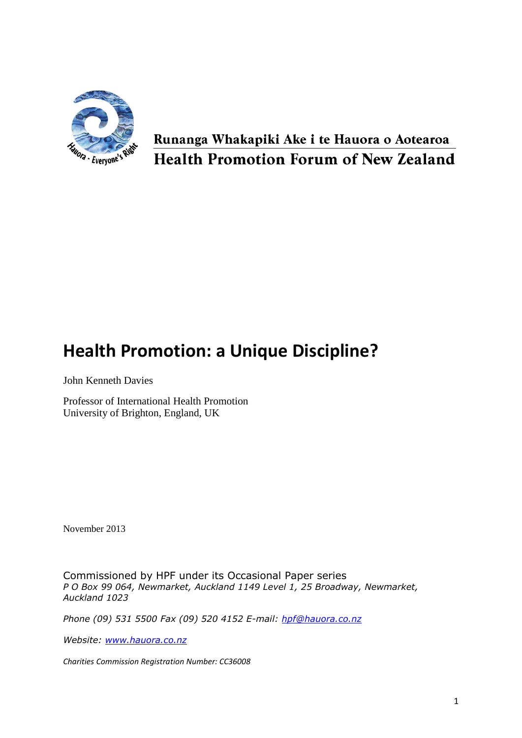

## Runanga Whakapiki Ake i te Hauora o Aotearoa **Health Promotion Forum of New Zealand**

# **Health Promotion: a Unique Discipline?**

John Kenneth Davies

Professor of International Health Promotion University of Brighton, England, UK

November 2013

Commissioned by HPF under its Occasional Paper series *P O Box 99 064, Newmarket, Auckland 1149 Level 1, 25 Broadway, Newmarket, Auckland 1023* 

*Phone (09) 531 5500 Fax (09) 520 4152 E-mail: [hpf@hauora.co.nz](mailto:hpf@hauora.co.nz)*

*Website: [www.hauora.co.nz](http://www.hauora.co.nz/)*

*Charities Commission Registration Number: CC36008*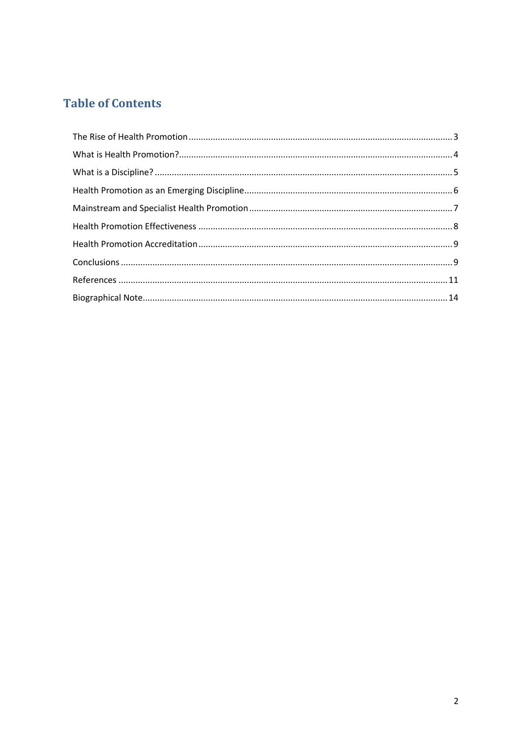### **Table of Contents**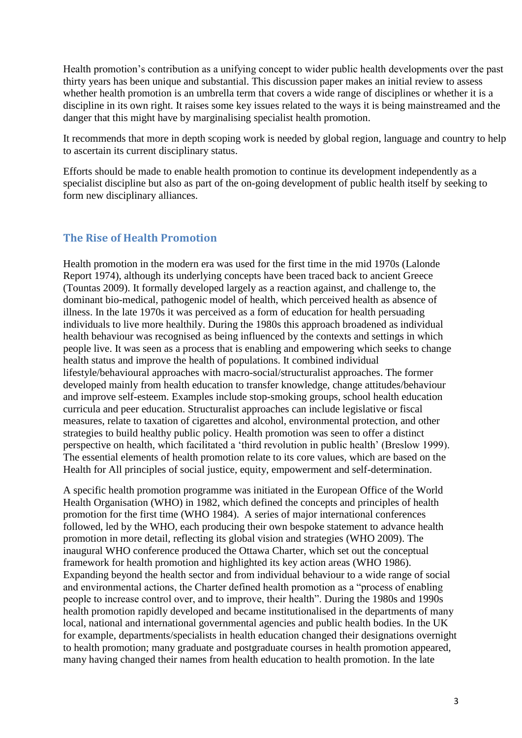Health promotion's contribution as a unifying concept to wider public health developments over the past thirty years has been unique and substantial. This discussion paper makes an initial review to assess whether health promotion is an umbrella term that covers a wide range of disciplines or whether it is a discipline in its own right. It raises some key issues related to the ways it is being mainstreamed and the danger that this might have by marginalising specialist health promotion.

It recommends that more in depth scoping work is needed by global region, language and country to help to ascertain its current disciplinary status.

Efforts should be made to enable health promotion to continue its development independently as a specialist discipline but also as part of the on-going development of public health itself by seeking to form new disciplinary alliances.

#### <span id="page-2-0"></span>**The Rise of Health Promotion**

Health promotion in the modern era was used for the first time in the mid 1970s (Lalonde Report 1974), although its underlying concepts have been traced back to ancient Greece (Tountas 2009). It formally developed largely as a reaction against, and challenge to, the dominant bio-medical, pathogenic model of health, which perceived health as absence of illness. In the late 1970s it was perceived as a form of education for health persuading individuals to live more healthily. During the 1980s this approach broadened as individual health behaviour was recognised as being influenced by the contexts and settings in which people live. It was seen as a process that is enabling and empowering which seeks to change health status and improve the health of populations. It combined individual lifestyle/behavioural approaches with macro-social/structuralist approaches. The former developed mainly from health education to transfer knowledge, change attitudes/behaviour and improve self-esteem. Examples include stop-smoking groups, school health education curricula and peer education. Structuralist approaches can include legislative or fiscal measures, relate to taxation of cigarettes and alcohol, environmental protection, and other strategies to build healthy public policy. Health promotion was seen to offer a distinct perspective on health, which facilitated a 'third revolution in public health' (Breslow 1999). The essential elements of health promotion relate to its core values, which are based on the Health for All principles of social justice, equity, empowerment and self-determination.

A specific health promotion programme was initiated in the European Office of the World Health Organisation (WHO) in 1982, which defined the concepts and principles of health promotion for the first time (WHO 1984). A series of major international conferences followed, led by the WHO, each producing their own bespoke statement to advance health promotion in more detail, reflecting its global vision and strategies (WHO 2009). The inaugural WHO conference produced the Ottawa Charter, which set out the conceptual framework for health promotion and highlighted its key action areas (WHO 1986). Expanding beyond the health sector and from individual behaviour to a wide range of social and environmental actions, the Charter defined health promotion as a "process of enabling people to increase control over, and to improve, their health". During the 1980s and 1990s health promotion rapidly developed and became institutionalised in the departments of many local, national and international governmental agencies and public health bodies. In the UK for example, departments/specialists in health education changed their designations overnight to health promotion; many graduate and postgraduate courses in health promotion appeared, many having changed their names from health education to health promotion. In the late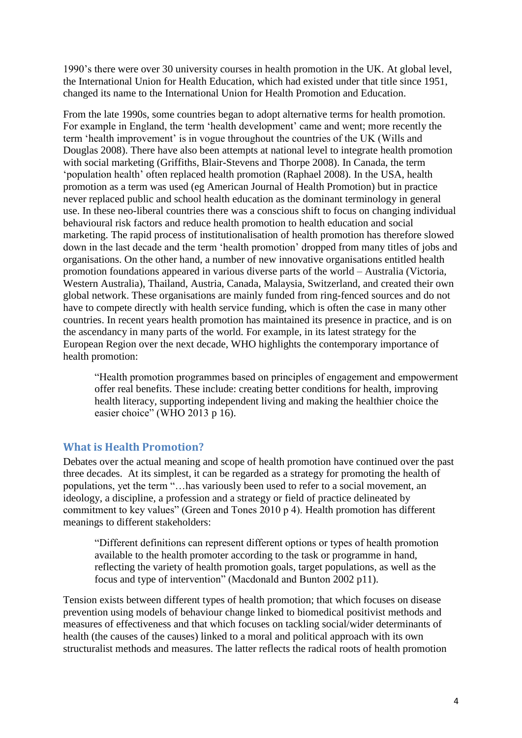1990's there were over 30 university courses in health promotion in the UK. At global level, the International Union for Health Education, which had existed under that title since 1951, changed its name to the International Union for Health Promotion and Education.

From the late 1990s, some countries began to adopt alternative terms for health promotion. For example in England, the term 'health development' came and went; more recently the term 'health improvement' is in vogue throughout the countries of the UK (Wills and Douglas 2008). There have also been attempts at national level to integrate health promotion with social marketing (Griffiths, Blair-Stevens and Thorpe 2008). In Canada, the term 'population health' often replaced health promotion (Raphael 2008). In the USA, health promotion as a term was used (eg American Journal of Health Promotion) but in practice never replaced public and school health education as the dominant terminology in general use. In these neo-liberal countries there was a conscious shift to focus on changing individual behavioural risk factors and reduce health promotion to health education and social marketing. The rapid process of institutionalisation of health promotion has therefore slowed down in the last decade and the term 'health promotion' dropped from many titles of jobs and organisations. On the other hand, a number of new innovative organisations entitled health promotion foundations appeared in various diverse parts of the world – Australia (Victoria, Western Australia), Thailand, Austria, Canada, Malaysia, Switzerland, and created their own global network. These organisations are mainly funded from ring-fenced sources and do not have to compete directly with health service funding, which is often the case in many other countries. In recent years health promotion has maintained its presence in practice, and is on the ascendancy in many parts of the world. For example, in its latest strategy for the European Region over the next decade, WHO highlights the contemporary importance of health promotion:

"Health promotion programmes based on principles of engagement and empowerment offer real benefits. These include: creating better conditions for health, improving health literacy, supporting independent living and making the healthier choice the easier choice" (WHO 2013 p 16).

#### <span id="page-3-0"></span>**What is Health Promotion?**

Debates over the actual meaning and scope of health promotion have continued over the past three decades. At its simplest, it can be regarded as a strategy for promoting the health of populations, yet the term "…has variously been used to refer to a social movement, an ideology, a discipline, a profession and a strategy or field of practice delineated by commitment to key values" (Green and Tones 2010 p 4). Health promotion has different meanings to different stakeholders:

"Different definitions can represent different options or types of health promotion available to the health promoter according to the task or programme in hand, reflecting the variety of health promotion goals, target populations, as well as the focus and type of intervention" (Macdonald and Bunton 2002 p11).

Tension exists between different types of health promotion; that which focuses on disease prevention using models of behaviour change linked to biomedical positivist methods and measures of effectiveness and that which focuses on tackling social/wider determinants of health (the causes of the causes) linked to a moral and political approach with its own structuralist methods and measures. The latter reflects the radical roots of health promotion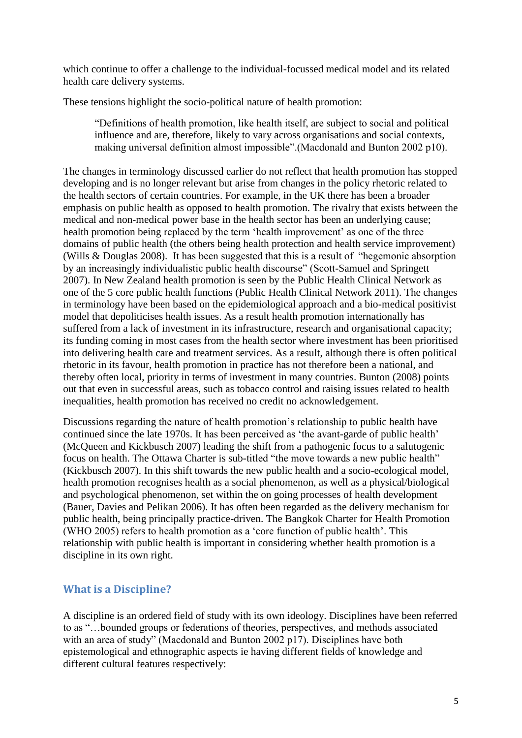which continue to offer a challenge to the individual-focussed medical model and its related health care delivery systems.

These tensions highlight the socio-political nature of health promotion:

"Definitions of health promotion, like health itself, are subject to social and political influence and are, therefore, likely to vary across organisations and social contexts, making universal definition almost impossible".(Macdonald and Bunton 2002 p10).

The changes in terminology discussed earlier do not reflect that health promotion has stopped developing and is no longer relevant but arise from changes in the policy rhetoric related to the health sectors of certain countries. For example, in the UK there has been a broader emphasis on public health as opposed to health promotion. The rivalry that exists between the medical and non-medical power base in the health sector has been an underlying cause; health promotion being replaced by the term 'health improvement' as one of the three domains of public health (the others being health protection and health service improvement) (Wills & Douglas 2008). It has been suggested that this is a result of "hegemonic absorption by an increasingly individualistic public health discourse" (Scott-Samuel and Springett 2007). In New Zealand health promotion is seen by the Public Health Clinical Network as one of the 5 core public health functions (Public Health Clinical Network 2011). The changes in terminology have been based on the epidemiological approach and a bio-medical positivist model that depoliticises health issues. As a result health promotion internationally has suffered from a lack of investment in its infrastructure, research and organisational capacity; its funding coming in most cases from the health sector where investment has been prioritised into delivering health care and treatment services. As a result, although there is often political rhetoric in its favour, health promotion in practice has not therefore been a national, and thereby often local, priority in terms of investment in many countries. Bunton (2008) points out that even in successful areas, such as tobacco control and raising issues related to health inequalities, health promotion has received no credit no acknowledgement.

Discussions regarding the nature of health promotion's relationship to public health have continued since the late 1970s. It has been perceived as 'the avant-garde of public health' (McQueen and Kickbusch 2007) leading the shift from a pathogenic focus to a salutogenic focus on health. The Ottawa Charter is sub-titled "the move towards a new public health" (Kickbusch 2007). In this shift towards the new public health and a socio-ecological model, health promotion recognises health as a social phenomenon, as well as a physical/biological and psychological phenomenon, set within the on going processes of health development (Bauer, Davies and Pelikan 2006). It has often been regarded as the delivery mechanism for public health, being principally practice-driven. The Bangkok Charter for Health Promotion (WHO 2005) refers to health promotion as a 'core function of public health'. This relationship with public health is important in considering whether health promotion is a discipline in its own right.

#### <span id="page-4-0"></span>**What is a Discipline?**

A discipline is an ordered field of study with its own ideology. Disciplines have been referred to as "…bounded groups or federations of theories, perspectives, and methods associated with an area of study" (Macdonald and Bunton 2002 p17). Disciplines have both epistemological and ethnographic aspects ie having different fields of knowledge and different cultural features respectively: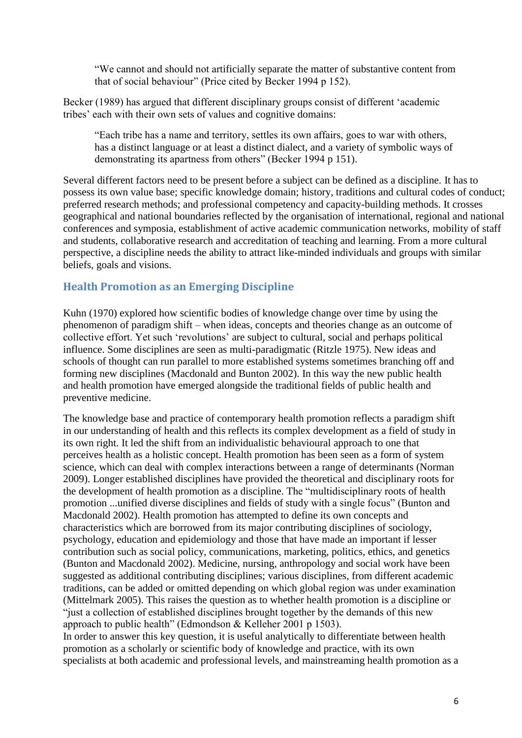"We cannot and should not artificially separate the matter of substantive content from that of social behaviour" (Price cited by Becker 1994 p 152).

Becker (1989) has argued that different disciplinary groups consist of different 'academic tribes' each with their own sets of values and cognitive domains:

"Each tribe has a name and territory, settles its own affairs, goes to war with others, has a distinct language or at least a distinct dialect, and a variety of symbolic ways of demonstrating its apartness from others" (Becker 1994 p 151).

Several different factors need to be present before a subject can be defined as a discipline. It has to possess its own value base; specific knowledge domain; history, traditions and cultural codes of conduct; preferred research methods; and professional competency and capacity-building methods. It crosses geographical and national boundaries reflected by the organisation of international, regional and national conferences and symposia, establishment of active academic communication networks, mobility of staff and students, collaborative research and accreditation of teaching and learning. From a more cultural perspective, a discipline needs the ability to attract like-minded individuals and groups with similar beliefs, goals and visions.

#### <span id="page-5-0"></span>**Health Promotion as an Emerging Discipline**

Kuhn (1970) explored how scientific bodies of knowledge change over time by using the phenomenon of paradigm shift – when ideas, concepts and theories change as an outcome of collective effort. Yet such 'revolutions' are subject to cultural, social and perhaps political influence. Some disciplines are seen as multi-paradigmatic (Ritzle 1975). New ideas and schools of thought can run parallel to more established systems sometimes branching off and forming new disciplines (Macdonald and Bunton 2002). In this way the new public health and health promotion have emerged alongside the traditional fields of public health and preventive medicine.

The knowledge base and practice of contemporary health promotion reflects a paradigm shift in our understanding of health and this reflects its complex development as a field of study in its own right. It led the shift from an individualistic behavioural approach to one that perceives health as a holistic concept. Health promotion has been seen as a form of system science, which can deal with complex interactions between a range of determinants (Norman 2009). Longer established disciplines have provided the theoretical and disciplinary roots for the development of health promotion as a discipline. The "multidisciplinary roots of health promotion ...unified diverse disciplines and fields of study with a single focus" (Bunton and Macdonald 2002). Health promotion has attempted to define its own concepts and characteristics which are borrowed from its major contributing disciplines of sociology, psychology, education and epidemiology and those that have made an important if lesser contribution such as social policy, communications, marketing, politics, ethics, and genetics (Bunton and Macdonald 2002). Medicine, nursing, anthropology and social work have been suggested as additional contributing disciplines; various disciplines, from different academic traditions, can be added or omitted depending on which global region was under examination (Mittelmark 2005). This raises the question as to whether health promotion is a discipline or "just a collection of established disciplines brought together by the demands of this new approach to public health" (Edmondson & Kelleher 2001 p 1503).

In order to answer this key question, it is useful analytically to differentiate between health promotion as a scholarly or scientific body of knowledge and practice, with its own specialists at both academic and professional levels, and mainstreaming health promotion as a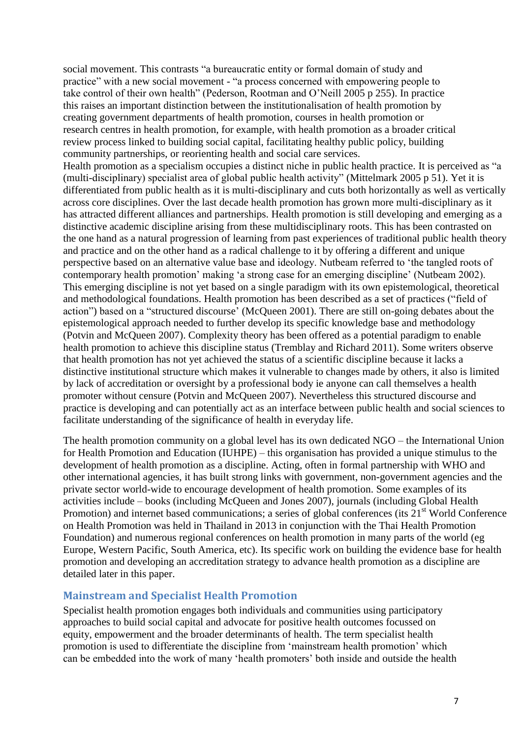social movement. This contrasts "a bureaucratic entity or formal domain of study and practice" with a new social movement - "a process concerned with empowering people to take control of their own health" (Pederson, Rootman and O'Neill 2005 p 255). In practice this raises an important distinction between the institutionalisation of health promotion by creating government departments of health promotion, courses in health promotion or research centres in health promotion, for example, with health promotion as a broader critical review process linked to building social capital, facilitating healthy public policy, building community partnerships, or reorienting health and social care services.

Health promotion as a specialism occupies a distinct niche in public health practice. It is perceived as "a (multi-disciplinary) specialist area of global public health activity" (Mittelmark 2005 p 51). Yet it is differentiated from public health as it is multi-disciplinary and cuts both horizontally as well as vertically across core disciplines. Over the last decade health promotion has grown more multi-disciplinary as it has attracted different alliances and partnerships. Health promotion is still developing and emerging as a distinctive academic discipline arising from these multidisciplinary roots. This has been contrasted on the one hand as a natural progression of learning from past experiences of traditional public health theory and practice and on the other hand as a radical challenge to it by offering a different and unique perspective based on an alternative value base and ideology. Nutbeam referred to 'the tangled roots of contemporary health promotion' making 'a strong case for an emerging discipline' (Nutbeam 2002). This emerging discipline is not yet based on a single paradigm with its own epistemological, theoretical and methodological foundations. Health promotion has been described as a set of practices ("field of action") based on a "structured discourse' (McQueen 2001). There are still on-going debates about the epistemological approach needed to further develop its specific knowledge base and methodology (Potvin and McQueen 2007). Complexity theory has been offered as a potential paradigm to enable health promotion to achieve this discipline status (Tremblay and Richard 2011). Some writers observe that health promotion has not yet achieved the status of a scientific discipline because it lacks a distinctive institutional structure which makes it vulnerable to changes made by others, it also is limited by lack of accreditation or oversight by a professional body ie anyone can call themselves a health promoter without censure (Potvin and McQueen 2007). Nevertheless this structured discourse and practice is developing and can potentially act as an interface between public health and social sciences to facilitate understanding of the significance of health in everyday life.

The health promotion community on a global level has its own dedicated NGO – the International Union for Health Promotion and Education (IUHPE) – this organisation has provided a unique stimulus to the development of health promotion as a discipline. Acting, often in formal partnership with WHO and other international agencies, it has built strong links with government, non-government agencies and the private sector world-wide to encourage development of health promotion. Some examples of its activities include – books (including McQueen and Jones 2007), journals (including Global Health Promotion) and internet based communications; a series of global conferences (its 21<sup>st</sup> World Conference on Health Promotion was held in Thailand in 2013 in conjunction with the Thai Health Promotion Foundation) and numerous regional conferences on health promotion in many parts of the world (eg Europe, Western Pacific, South America, etc). Its specific work on building the evidence base for health promotion and developing an accreditation strategy to advance health promotion as a discipline are detailed later in this paper.

#### <span id="page-6-0"></span>**Mainstream and Specialist Health Promotion**

Specialist health promotion engages both individuals and communities using participatory approaches to build social capital and advocate for positive health outcomes focussed on equity, empowerment and the broader determinants of health. The term specialist health promotion is used to differentiate the discipline from 'mainstream health promotion' which can be embedded into the work of many 'health promoters' both inside and outside the health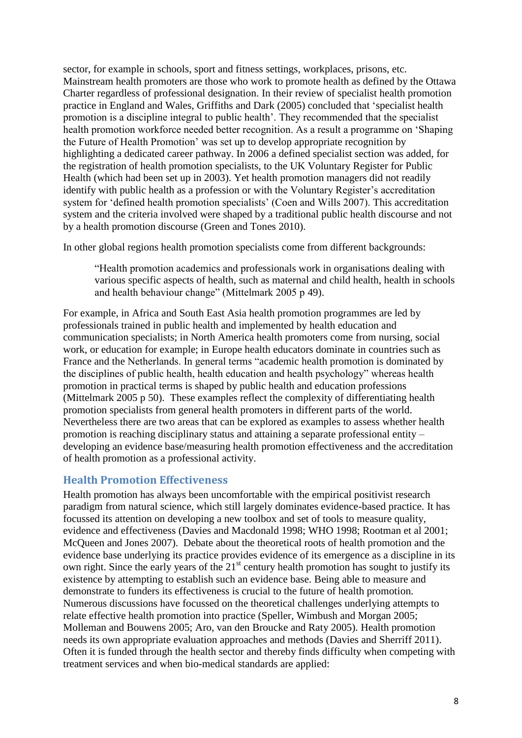sector, for example in schools, sport and fitness settings, workplaces, prisons, etc. Mainstream health promoters are those who work to promote health as defined by the Ottawa Charter regardless of professional designation. In their review of specialist health promotion practice in England and Wales, Griffiths and Dark (2005) concluded that 'specialist health promotion is a discipline integral to public health'. They recommended that the specialist health promotion workforce needed better recognition. As a result a programme on 'Shaping the Future of Health Promotion' was set up to develop appropriate recognition by highlighting a dedicated career pathway. In 2006 a defined specialist section was added, for the registration of health promotion specialists, to the UK Voluntary Register for Public Health (which had been set up in 2003). Yet health promotion managers did not readily identify with public health as a profession or with the Voluntary Register's accreditation system for 'defined health promotion specialists' (Coen and Wills 2007). This accreditation system and the criteria involved were shaped by a traditional public health discourse and not by a health promotion discourse (Green and Tones 2010).

In other global regions health promotion specialists come from different backgrounds:

"Health promotion academics and professionals work in organisations dealing with various specific aspects of health, such as maternal and child health, health in schools and health behaviour change" (Mittelmark 2005 p 49).

For example, in Africa and South East Asia health promotion programmes are led by professionals trained in public health and implemented by health education and communication specialists; in North America health promoters come from nursing, social work, or education for example; in Europe health educators dominate in countries such as France and the Netherlands. In general terms "academic health promotion is dominated by the disciplines of public health, health education and health psychology" whereas health promotion in practical terms is shaped by public health and education professions (Mittelmark 2005 p 50). These examples reflect the complexity of differentiating health promotion specialists from general health promoters in different parts of the world. Nevertheless there are two areas that can be explored as examples to assess whether health promotion is reaching disciplinary status and attaining a separate professional entity – developing an evidence base/measuring health promotion effectiveness and the accreditation of health promotion as a professional activity.

#### <span id="page-7-0"></span>**Health Promotion Effectiveness**

Health promotion has always been uncomfortable with the empirical positivist research paradigm from natural science, which still largely dominates evidence-based practice. It has focussed its attention on developing a new toolbox and set of tools to measure quality, evidence and effectiveness (Davies and Macdonald 1998; WHO 1998; Rootman et al 2001; McQueen and Jones 2007). Debate about the theoretical roots of health promotion and the evidence base underlying its practice provides evidence of its emergence as a discipline in its own right. Since the early years of the  $21<sup>st</sup>$  century health promotion has sought to justify its existence by attempting to establish such an evidence base. Being able to measure and demonstrate to funders its effectiveness is crucial to the future of health promotion. Numerous discussions have focussed on the theoretical challenges underlying attempts to relate effective health promotion into practice (Speller, Wimbush and Morgan 2005; Molleman and Bouwens 2005; Aro, van den Broucke and Raty 2005). Health promotion needs its own appropriate evaluation approaches and methods (Davies and Sherriff 2011). Often it is funded through the health sector and thereby finds difficulty when competing with treatment services and when bio-medical standards are applied: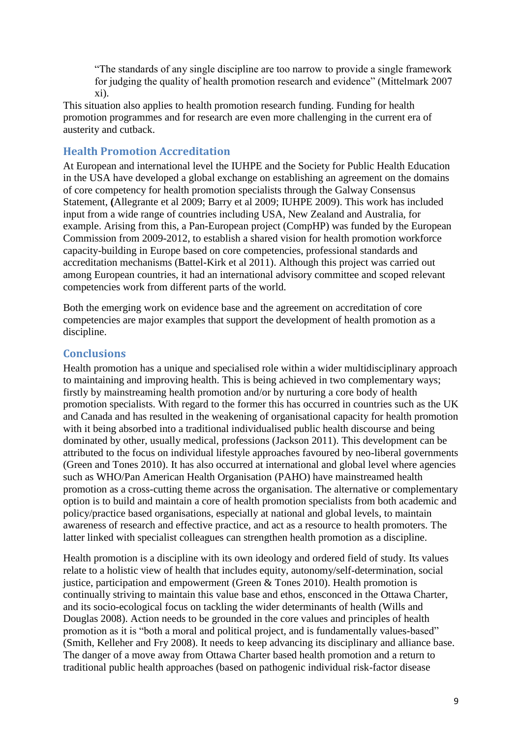"The standards of any single discipline are too narrow to provide a single framework for judging the quality of health promotion research and evidence" (Mittelmark 2007 xi).

This situation also applies to health promotion research funding. Funding for health promotion programmes and for research are even more challenging in the current era of austerity and cutback.

#### <span id="page-8-0"></span>**Health Promotion Accreditation**

At European and international level the IUHPE and the Society for Public Health Education in the USA have developed a global exchange on establishing an agreement on the domains of core competency for health promotion specialists through the Galway Consensus Statement, **(**Allegrante et al 2009; Barry et al 2009; IUHPE 2009). This work has included input from a wide range of countries including USA, New Zealand and Australia, for example. Arising from this, a Pan-European project (CompHP) was funded by the European Commission from 2009-2012, to establish a shared vision for health promotion workforce capacity-building in Europe based on core competencies, professional standards and accreditation mechanisms (Battel-Kirk et al 2011). Although this project was carried out among European countries, it had an international advisory committee and scoped relevant competencies work from different parts of the world.

Both the emerging work on evidence base and the agreement on accreditation of core competencies are major examples that support the development of health promotion as a discipline.

#### <span id="page-8-1"></span>**Conclusions**

Health promotion has a unique and specialised role within a wider multidisciplinary approach to maintaining and improving health. This is being achieved in two complementary ways; firstly by mainstreaming health promotion and/or by nurturing a core body of health promotion specialists. With regard to the former this has occurred in countries such as the UK and Canada and has resulted in the weakening of organisational capacity for health promotion with it being absorbed into a traditional individualised public health discourse and being dominated by other, usually medical, professions (Jackson 2011). This development can be attributed to the focus on individual lifestyle approaches favoured by neo-liberal governments (Green and Tones 2010). It has also occurred at international and global level where agencies such as WHO/Pan American Health Organisation (PAHO) have mainstreamed health promotion as a cross-cutting theme across the organisation. The alternative or complementary option is to build and maintain a core of health promotion specialists from both academic and policy/practice based organisations, especially at national and global levels, to maintain awareness of research and effective practice, and act as a resource to health promoters. The latter linked with specialist colleagues can strengthen health promotion as a discipline.

Health promotion is a discipline with its own ideology and ordered field of study. Its values relate to a holistic view of health that includes equity, autonomy/self-determination, social justice, participation and empowerment (Green & Tones 2010). Health promotion is continually striving to maintain this value base and ethos, ensconced in the Ottawa Charter, and its socio-ecological focus on tackling the wider determinants of health (Wills and Douglas 2008). Action needs to be grounded in the core values and principles of health promotion as it is "both a moral and political project, and is fundamentally values-based" (Smith, Kelleher and Fry 2008). It needs to keep advancing its disciplinary and alliance base. The danger of a move away from Ottawa Charter based health promotion and a return to traditional public health approaches (based on pathogenic individual risk-factor disease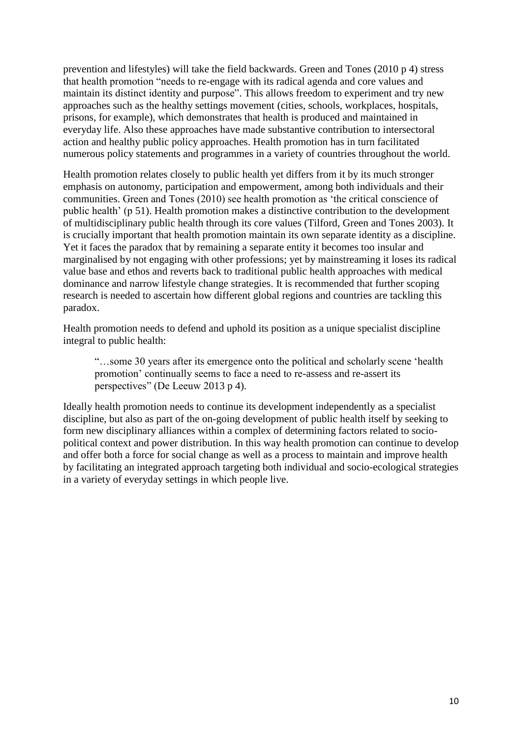prevention and lifestyles) will take the field backwards. Green and Tones (2010 p 4) stress that health promotion "needs to re-engage with its radical agenda and core values and maintain its distinct identity and purpose". This allows freedom to experiment and try new approaches such as the healthy settings movement (cities, schools, workplaces, hospitals, prisons, for example), which demonstrates that health is produced and maintained in everyday life. Also these approaches have made substantive contribution to intersectoral action and healthy public policy approaches. Health promotion has in turn facilitated numerous policy statements and programmes in a variety of countries throughout the world.

Health promotion relates closely to public health yet differs from it by its much stronger emphasis on autonomy, participation and empowerment, among both individuals and their communities. Green and Tones (2010) see health promotion as 'the critical conscience of public health' (p 51). Health promotion makes a distinctive contribution to the development of multidisciplinary public health through its core values (Tilford, Green and Tones 2003). It is crucially important that health promotion maintain its own separate identity as a discipline. Yet it faces the paradox that by remaining a separate entity it becomes too insular and marginalised by not engaging with other professions; yet by mainstreaming it loses its radical value base and ethos and reverts back to traditional public health approaches with medical dominance and narrow lifestyle change strategies. It is recommended that further scoping research is needed to ascertain how different global regions and countries are tackling this paradox.

Health promotion needs to defend and uphold its position as a unique specialist discipline integral to public health:

"…some 30 years after its emergence onto the political and scholarly scene 'health promotion' continually seems to face a need to re-assess and re-assert its perspectives" (De Leeuw 2013 p 4).

Ideally health promotion needs to continue its development independently as a specialist discipline, but also as part of the on-going development of public health itself by seeking to form new disciplinary alliances within a complex of determining factors related to sociopolitical context and power distribution. In this way health promotion can continue to develop and offer both a force for social change as well as a process to maintain and improve health by facilitating an integrated approach targeting both individual and socio-ecological strategies in a variety of everyday settings in which people live.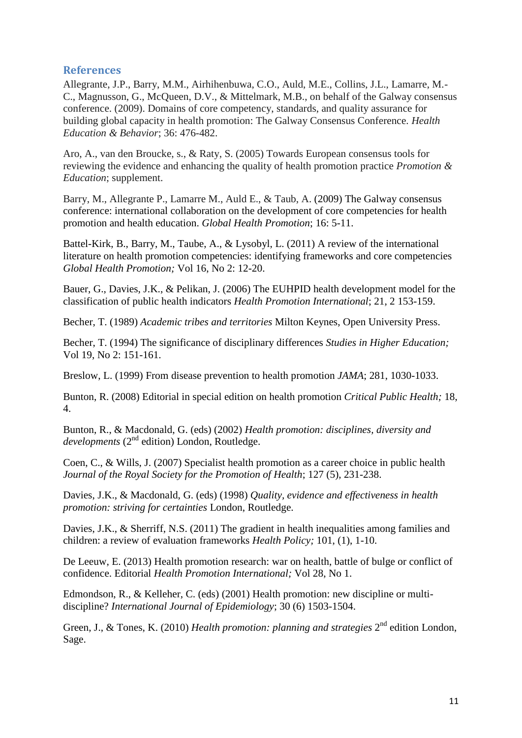#### <span id="page-10-0"></span>**References**

Allegrante, J.P., Barry, M.M., Airhihenbuwa, C.O., Auld, M.E., Collins, J.L., Lamarre, M.- C., Magnusson, G., McQueen, D.V., & Mittelmark, M.B., on behalf of the Galway consensus conference. (2009). Domains of core competency, standards, and quality assurance for building global capacity in health promotion: The Galway Consensus Conference. *Health Education & Behavior*; 36: 476-482.

Aro, A., van den Broucke, s., & Raty, S. (2005) Towards European consensus tools for reviewing the evidence and enhancing the quality of health promotion practice *Promotion & Education*; supplement.

Barry, M., Allegrante P., Lamarre M., Auld E., & Taub, A. (2009) The Galway consensus conference: international collaboration on the development of core competencies for health promotion and health education. *Global Health Promotion*; 16: 5-11.

Battel-Kirk, B., Barry, M., Taube, A., & Lysobyl, L. (2011) A review of the international literature on health promotion competencies: identifying frameworks and core competencies *Global Health Promotion;* Vol 16, No 2: 12-20.

Bauer, G., Davies, J.K., & Pelikan, J. (2006) The EUHPID health development model for the classification of public health indicators *Health Promotion International*; 21, 2 153-159.

Becher, T. (1989) *Academic tribes and territories* Milton Keynes, Open University Press.

Becher, T. (1994) The significance of disciplinary differences *Studies in Higher Education;* Vol 19, No 2: 151-161.

Breslow, L. (1999) From disease prevention to health promotion *JAMA*; 281, 1030-1033.

Bunton, R. (2008) Editorial in special edition on health promotion *Critical Public Health;* 18, 4.

Bunton, R., & Macdonald, G. (eds) (2002) *Health promotion: disciplines, diversity and developments* (2nd edition) London, Routledge.

Coen, C., & Wills, J. (2007) Specialist health promotion as a career choice in public health *Journal of the Royal Society for the Promotion of Health*; 127 (5), 231-238.

Davies, J.K., & Macdonald, G. (eds) (1998) *Quality, evidence and effectiveness in health promotion: striving for certainties* London, Routledge.

Davies, J.K., & Sherriff, N.S. (2011) The gradient in health inequalities among families and children: a review of evaluation frameworks *Health Policy;* 101, (1), 1-10.

De Leeuw, E. (2013) Health promotion research: war on health, battle of bulge or conflict of confidence. Editorial *Health Promotion International;* Vol 28, No 1.

Edmondson, R., & Kelleher, C. (eds) (2001) Health promotion: new discipline or multidiscipline? *International Journal of Epidemiology*; 30 (6) 1503-1504.

Green, J., & Tones, K. (2010) *Health promotion: planning and strategies* 2<sup>nd</sup> edition London, Sage.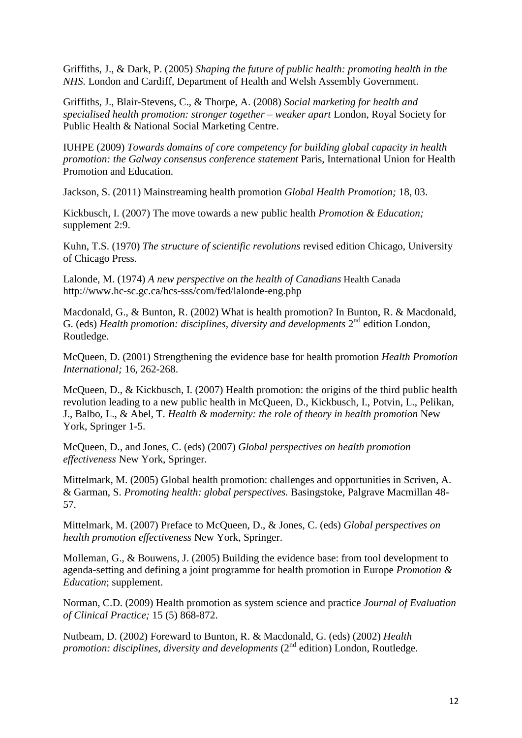Griffiths, J., & Dark, P. (2005) *Shaping the future of public health: promoting health in the NHS.* London and Cardiff, Department of Health and Welsh Assembly Government.

Griffiths, J., Blair-Stevens, C., & Thorpe, A. (2008) *Social marketing for health and specialised health promotion: stronger together – weaker apart* London, Royal Society for Public Health & National Social Marketing Centre.

IUHPE (2009) *Towards domains of core competency for building global capacity in health promotion: the Galway consensus conference statement* Paris, International Union for Health Promotion and Education.

Jackson, S. (2011) Mainstreaming health promotion *Global Health Promotion;* 18, 03.

Kickbusch, I. (2007) The move towards a new public health *Promotion & Education;* supplement 2:9.

Kuhn, T.S. (1970) *The structure of scientific revolutions* revised edition Chicago, University of Chicago Press.

Lalonde, M. (1974) *A new perspective on the health of Canadians* Health Canada http://www.hc-sc.gc.ca/hcs-sss/com/fed/lalonde-eng.php

Macdonald, G., & Bunton, R. (2002) What is health promotion? In Bunton, R. & Macdonald, G. (eds) *Health promotion: disciplines, diversity and developments* 2<sup>nd</sup> edition London, Routledge.

McQueen, D. (2001) Strengthening the evidence base for health promotion *Health Promotion International;* 16, 262-268.

McQueen, D., & Kickbusch, I. (2007) Health promotion: the origins of the third public health revolution leading to a new public health in McQueen, D., Kickbusch, I., Potvin, L., Pelikan, J., Balbo, L., & Abel, T. *Health & modernity: the role of theory in health promotion* New York, Springer 1-5.

McQueen, D., and Jones, C. (eds) (2007) *Global perspectives on health promotion effectiveness* New York, Springer.

Mittelmark, M. (2005) Global health promotion: challenges and opportunities in Scriven, A. & Garman, S. *Promoting health: global perspectives.* Basingstoke, Palgrave Macmillan 48- 57.

Mittelmark, M. (2007) Preface to McQueen, D., & Jones, C. (eds) *Global perspectives on health promotion effectiveness* New York, Springer.

Molleman, G., & Bouwens, J. (2005) Building the evidence base: from tool development to agenda-setting and defining a joint programme for health promotion in Europe *Promotion & Education*; supplement.

Norman, C.D. (2009) Health promotion as system science and practice *Journal of Evaluation of Clinical Practice;* 15 (5) 868-872.

Nutbeam, D. (2002) Foreward to Bunton, R. & Macdonald, G. (eds) (2002) *Health promotion: disciplines, diversity and developments* (2<sup>nd</sup> edition) London, Routledge.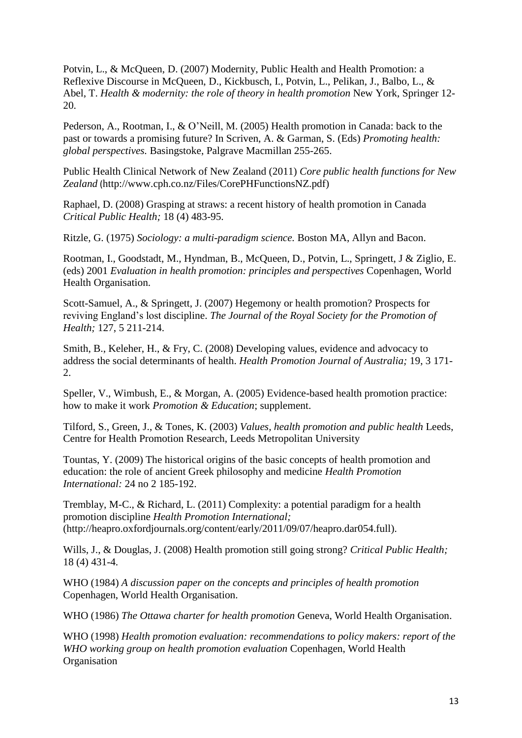Potvin, L., & McQueen, D. (2007) Modernity, Public Health and Health Promotion: a Reflexive Discourse in McQueen, D., Kickbusch, I., Potvin, L., Pelikan, J., Balbo, L., & Abel, T. *Health & modernity: the role of theory in health promotion* New York, Springer 12- 20.

Pederson, A., Rootman, I., & O'Neill, M. (2005) Health promotion in Canada: back to the past or towards a promising future? In Scriven, A. & Garman, S. (Eds) *Promoting health: global perspectives.* Basingstoke, Palgrave Macmillan 255-265.

Public Health Clinical Network of New Zealand (2011) *Core public health functions for New Zealand* (http://www.cph.co.nz/Files/CorePHFunctionsNZ.pdf)

Raphael, D. (2008) Grasping at straws: a recent history of health promotion in Canada *Critical Public Health;* 18 (4) 483-95.

Ritzle, G. (1975) *Sociology: a multi-paradigm science.* Boston MA, Allyn and Bacon.

Rootman, I., Goodstadt, M., Hyndman, B., McQueen, D., Potvin, L., Springett, J & Ziglio, E. (eds) 2001 *Evaluation in health promotion: principles and perspectives* Copenhagen, World Health Organisation.

Scott-Samuel, A., & Springett, J. (2007) Hegemony or health promotion? Prospects for reviving England's lost discipline. *The Journal of the Royal Society for the Promotion of Health;* 127, 5 211-214.

Smith, B., Keleher, H., & Fry, C. (2008) Developing values, evidence and advocacy to address the social determinants of health. *Health Promotion Journal of Australia;* 19, 3 171- 2.

Speller, V., Wimbush, E., & Morgan, A. (2005) Evidence-based health promotion practice: how to make it work *Promotion & Education*; supplement.

Tilford, S., Green, J., & Tones, K. (2003) *Values, health promotion and public health* Leeds, Centre for Health Promotion Research, Leeds Metropolitan University

Tountas, Y. (2009) The historical origins of the basic concepts of health promotion and education: the role of ancient Greek philosophy and medicine *Health Promotion International:* 24 no 2 185-192.

Tremblay, M-C., & Richard, L. (2011) Complexity: a potential paradigm for a health promotion discipline *Health Promotion International;* (http://heapro.oxfordjournals.org/content/early/2011/09/07/heapro.dar054.full).

Wills, J., & Douglas, J. (2008) Health promotion still going strong? *Critical Public Health;* 18 (4) 431-4.

WHO (1984) *A discussion paper on the concepts and principles of health promotion* Copenhagen, World Health Organisation.

WHO (1986) *The Ottawa charter for health promotion* Geneva, World Health Organisation.

WHO (1998) *Health promotion evaluation: recommendations to policy makers: report of the WHO working group on health promotion evaluation* Copenhagen, World Health **Organisation**